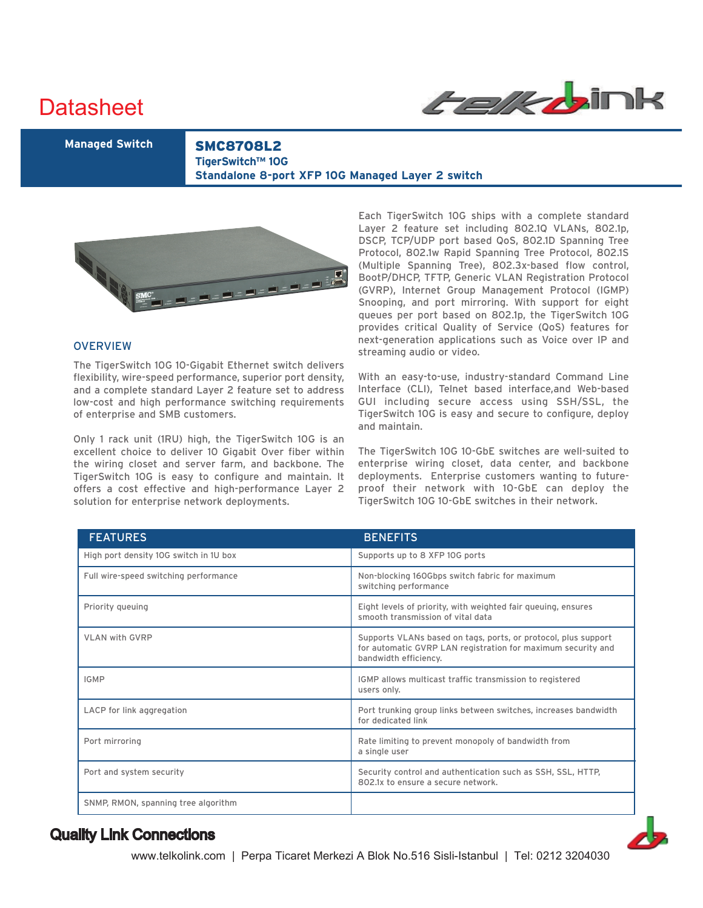# **Datasheet**



**Managed Switch** SMC8708L2 **TigerSwitch™ 10G Standalone 8-port XFP 10G Managed Layer 2 switch**



### **OVERVIEW**

The TigerSwitch 10G 10-Gigabit Ethernet switch delivers flexibility, wire-speed performance, superior port density, and a complete standard Layer 2 feature set to address low-cost and high performance switching requirements of enterprise and SMB customers.

Only 1 rack unit (1RU) high, the TigerSwitch 10G is an excellent choice to deliver 10 Gigabit Over fiber within the wiring closet and server farm, and backbone. The TigerSwitch 10G is easy to configure and maintain. It offers a cost effective and high-performance Layer 2 solution for enterprise network deployments.

Each TigerSwitch 10G ships with a complete standard Layer 2 feature set including 802.1Q VLANs, 802.1p, DSCP, TCP/UDP port based QoS, 802.1D Spanning Tree Protocol, 802.1w Rapid Spanning Tree Protocol, 802.1S (Multiple Spanning Tree), 802.3x-based flow control, BootP/DHCP, TFTP, Generic VLAN Registration Protocol (GVRP), Internet Group Management Protocol (IGMP) Snooping, and port mirroring. With support for eight queues per port based on 802.1p, the TigerSwitch 10G provides critical Quality of Service (QoS) features for next-generation applications such as Voice over IP and streaming audio or video.

With an easy-to-use, industry-standard Command Line Interface (CLI), Telnet based interface,and Web-based GUI including secure access using SSH/SSL, the TigerSwitch 10G is easy and secure to configure, deploy and maintain.

The TigerSwitch 10G 10-GbE switches are well-suited to enterprise wiring closet, data center, and backbone deployments. Enterprise customers wanting to futureproof their network with 10-GbE can deploy the TigerSwitch 10G 10-GbE switches in their network.

| <b>FEATURES</b>                        | <b>BENEFITS</b>                                                                                                                                         |
|----------------------------------------|---------------------------------------------------------------------------------------------------------------------------------------------------------|
| High port density 10G switch in 1U box | Supports up to 8 XFP 10G ports                                                                                                                          |
| Full wire-speed switching performance  | Non-blocking 160Gbps switch fabric for maximum<br>switching performance                                                                                 |
| Priority queuing                       | Eight levels of priority, with weighted fair queuing, ensures<br>smooth transmission of vital data                                                      |
| <b>VLAN with GVRP</b>                  | Supports VLANs based on tags, ports, or protocol, plus support<br>for automatic GVRP LAN registration for maximum security and<br>bandwidth efficiency. |
| <b>IGMP</b>                            | IGMP allows multicast traffic transmission to registered<br>users only.                                                                                 |
| LACP for link aggregation              | Port trunking group links between switches, increases bandwidth<br>for dedicated link                                                                   |
| Port mirroring                         | Rate limiting to prevent monopoly of bandwidth from<br>a single user                                                                                    |
| Port and system security               | Security control and authentication such as SSH, SSL, HTTP,<br>802.1x to ensure a secure network.                                                       |
| SNMP, RMON, spanning tree algorithm    |                                                                                                                                                         |

# Quality Link Connections